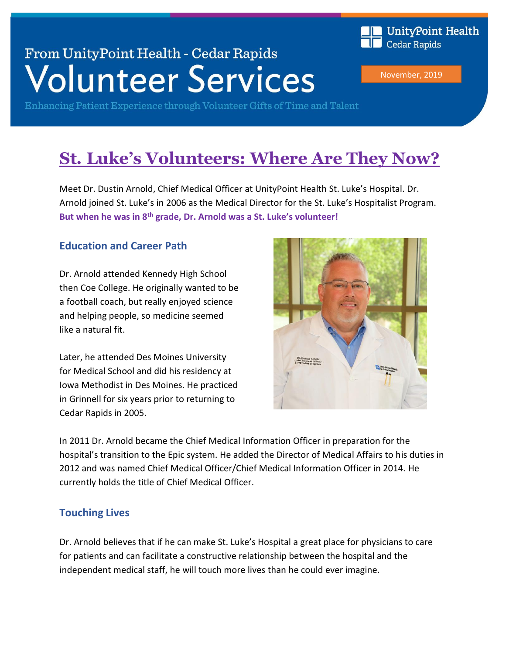# From UnityPoint Health - Cedar Rapids **Volunteer Services**

Enhancing Patient Experience through Volunteer Gifts of Time and Talent

# **St. Luke's Volunteers: Where Are They Now?**

Meet Dr. Dustin Arnold, Chief Medical Officer at UnityPoint Health St. Luke's Hospital. Dr. Arnold joined St. Luke's in 2006 as the Medical Director for the St. Luke's Hospitalist Program. **But when he was in 8th grade, Dr. Arnold was a St. Luke's volunteer!**

#### **Education and Career Path**

Dr. Arnold attended Kennedy High School then Coe College. He originally wanted to be a football coach, but really enjoyed science and helping people, so medicine seemed like a natural fit.

Later, he attended Des Moines University for Medical School and did his residency at Iowa Methodist in Des Moines. He practiced in Grinnell for six years prior to returning to Cedar Rapids in 2005.



November, 2019

**Cedar Rapids** 

UnityPoint Health

In 2011 Dr. Arnold became the Chief Medical Information Officer in preparation for the hospital's transition to the Epic system. He added the Director of Medical Affairs to his duties in 2012 and was named Chief Medical Officer/Chief Medical Information Officer in 2014. He currently holds the title of Chief Medical Officer.

#### **Touching Lives**

Dr. Arnold believes that if he can make St. Luke's Hospital a great place for physicians to care for patients and can facilitate a constructive relationship between the hospital and the independent medical staff, he will touch more lives than he could ever imagine.